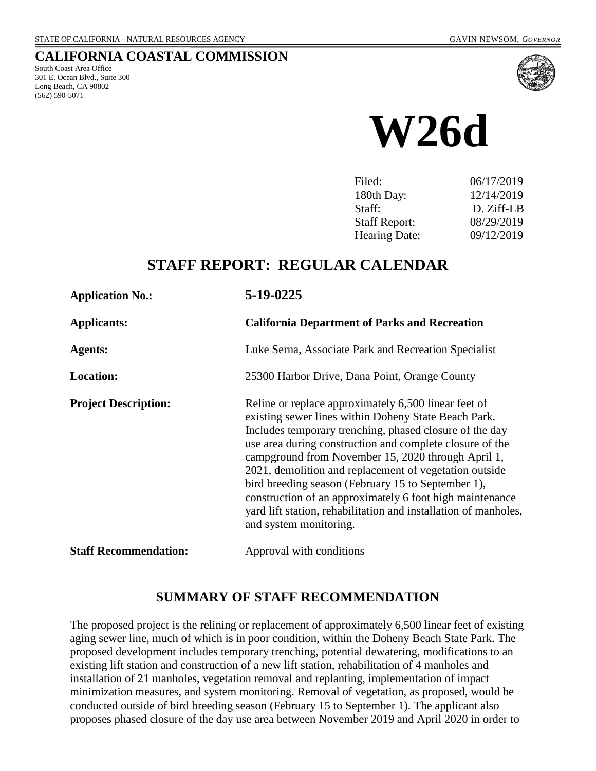## **CALIFORNIA COASTAL COMMISSION**

South Coast Area Office 301 E. Ocean Blvd., Suite 300 Long Beach, CA 90802 (562) 590-5071



**W26d**

| Filed:               | 06/17/2019 |
|----------------------|------------|
| 180th Day:           | 12/14/2019 |
| Staff:               | D. Ziff-LB |
| <b>Staff Report:</b> | 08/29/2019 |
| <b>Hearing Date:</b> | 09/12/2019 |
|                      |            |

## **STAFF REPORT: REGULAR CALENDAR**

| <b>Application No.:</b>      | 5-19-0225                                                                                                                                                                                                                                                                                                                                                                                                                                                                                                                                                          |  |  |
|------------------------------|--------------------------------------------------------------------------------------------------------------------------------------------------------------------------------------------------------------------------------------------------------------------------------------------------------------------------------------------------------------------------------------------------------------------------------------------------------------------------------------------------------------------------------------------------------------------|--|--|
| <b>Applicants:</b>           | <b>California Department of Parks and Recreation</b>                                                                                                                                                                                                                                                                                                                                                                                                                                                                                                               |  |  |
| <b>Agents:</b>               | Luke Serna, Associate Park and Recreation Specialist                                                                                                                                                                                                                                                                                                                                                                                                                                                                                                               |  |  |
| <b>Location:</b>             | 25300 Harbor Drive, Dana Point, Orange County                                                                                                                                                                                                                                                                                                                                                                                                                                                                                                                      |  |  |
| <b>Project Description:</b>  | Reline or replace approximately 6,500 linear feet of<br>existing sewer lines within Doheny State Beach Park.<br>Includes temporary trenching, phased closure of the day<br>use area during construction and complete closure of the<br>campground from November 15, 2020 through April 1,<br>2021, demolition and replacement of vegetation outside<br>bird breeding season (February 15 to September 1),<br>construction of an approximately 6 foot high maintenance<br>yard lift station, rehabilitation and installation of manholes,<br>and system monitoring. |  |  |
| <b>Staff Recommendation:</b> | Approval with conditions                                                                                                                                                                                                                                                                                                                                                                                                                                                                                                                                           |  |  |

## **SUMMARY OF STAFF RECOMMENDATION**

The proposed project is the relining or replacement of approximately 6,500 linear feet of existing aging sewer line, much of which is in poor condition, within the Doheny Beach State Park. The proposed development includes temporary trenching, potential dewatering, modifications to an existing lift station and construction of a new lift station, rehabilitation of 4 manholes and installation of 21 manholes, vegetation removal and replanting, implementation of impact minimization measures, and system monitoring. Removal of vegetation, as proposed, would be conducted outside of bird breeding season (February 15 to September 1). The applicant also proposes phased closure of the day use area between November 2019 and April 2020 in order to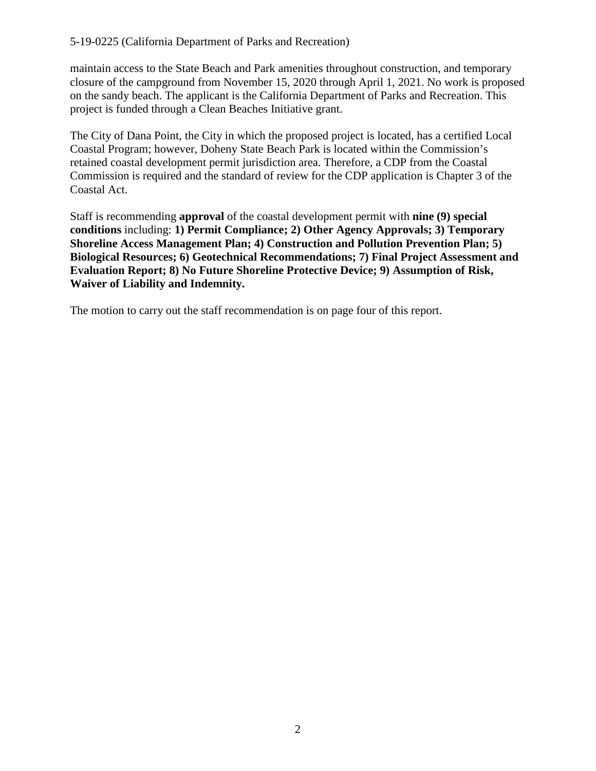maintain access to the State Beach and Park amenities throughout construction, and temporary closure of the campground from November 15, 2020 through April 1, 2021. No work is proposed on the sandy beach. The applicant is the California Department of Parks and Recreation. This project is funded through a Clean Beaches Initiative grant.

The City of Dana Point, the City in which the proposed project is located, has a certified Local Coastal Program; however, Doheny State Beach Park is located within the Commission's retained coastal development permit jurisdiction area. Therefore, a CDP from the Coastal Commission is required and the standard of review for the CDP application is Chapter 3 of the Coastal Act.

Staff is recommending **approval** of the coastal development permit with **nine (9) special conditions** including: **1) Permit Compliance; 2) Other Agency Approvals; 3) Temporary Shoreline Access Management Plan; 4) Construction and Pollution Prevention Plan; 5) Biological Resources; 6) Geotechnical Recommendations; 7) Final Project Assessment and Evaluation Report; 8) No Future Shoreline Protective Device; 9) Assumption of Risk, Waiver of Liability and Indemnity.** 

The motion to carry out the staff recommendation is on page four of this report.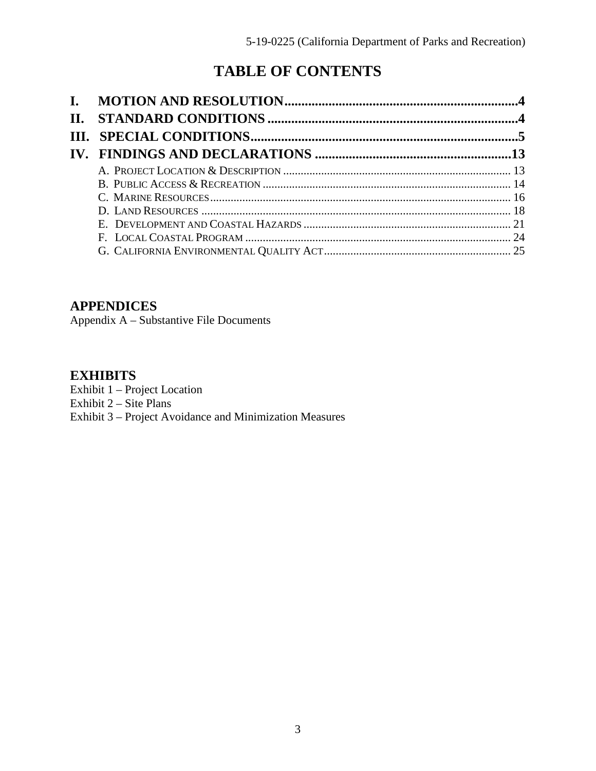# **TABLE OF CONTENTS**

| II. |  |
|-----|--|
|     |  |
|     |  |
|     |  |
|     |  |
|     |  |
|     |  |
|     |  |
|     |  |
|     |  |

## **[APPENDICES](#page-24-1)**

[Appendix A – Substantive File Documents](#page-24-1)

## **[EXHIBITS](https://documents.coastal.ca.gov/reports/2019/9/W26d/W26d-9-2019-exhibits.pdf)**

[Exhibit 1 – Project Location](https://documents.coastal.ca.gov/reports/2019/9/W26d/W26d-9-2019-exhibits.pdf) 

Exhibit  $2 - \text{Site Plans}$ 

[Exhibit 3 – Project Avoidance and Minimization Measures](https://documents.coastal.ca.gov/reports/2019/9/W26d/W26d-9-2019-exhibits.pdf)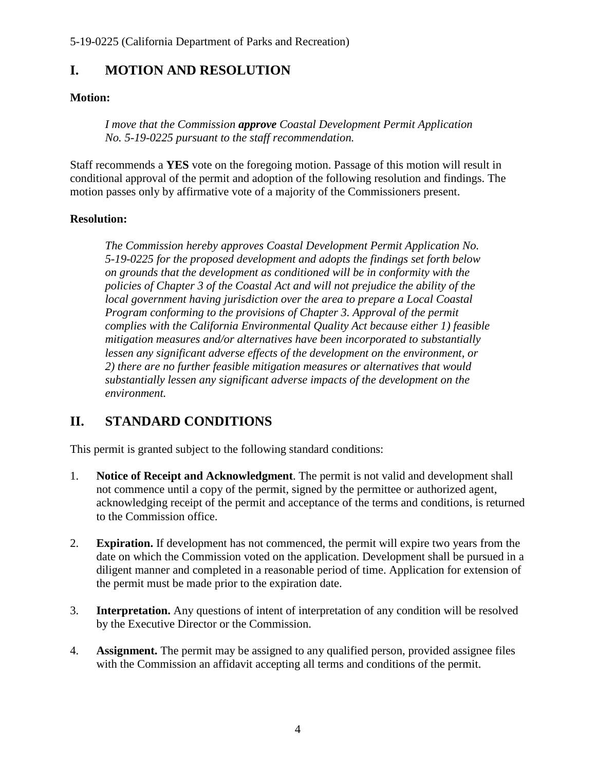## <span id="page-3-0"></span>**I. MOTION AND RESOLUTION**

## **Motion:**

*I move that the Commission approve Coastal Development Permit Application No. 5-19-0225 pursuant to the staff recommendation.*

Staff recommends a **YES** vote on the foregoing motion. Passage of this motion will result in conditional approval of the permit and adoption of the following resolution and findings. The motion passes only by affirmative vote of a majority of the Commissioners present.

## **Resolution:**

*The Commission hereby approves Coastal Development Permit Application No. 5-19-0225 for the proposed development and adopts the findings set forth below on grounds that the development as conditioned will be in conformity with the policies of Chapter 3 of the Coastal Act and will not prejudice the ability of the local government having jurisdiction over the area to prepare a Local Coastal Program conforming to the provisions of Chapter 3. Approval of the permit complies with the California Environmental Quality Act because either 1) feasible mitigation measures and/or alternatives have been incorporated to substantially*  lessen any significant adverse effects of the development on the environment, or *2) there are no further feasible mitigation measures or alternatives that would substantially lessen any significant adverse impacts of the development on the environment.* 

# <span id="page-3-1"></span>**II. STANDARD CONDITIONS**

This permit is granted subject to the following standard conditions:

- 1. **Notice of Receipt and Acknowledgment**. The permit is not valid and development shall not commence until a copy of the permit, signed by the permittee or authorized agent, acknowledging receipt of the permit and acceptance of the terms and conditions, is returned to the Commission office.
- 2. **Expiration.** If development has not commenced, the permit will expire two years from the date on which the Commission voted on the application. Development shall be pursued in a diligent manner and completed in a reasonable period of time. Application for extension of the permit must be made prior to the expiration date.
- 3. **Interpretation.** Any questions of intent of interpretation of any condition will be resolved by the Executive Director or the Commission.
- 4. **Assignment.** The permit may be assigned to any qualified person, provided assignee files with the Commission an affidavit accepting all terms and conditions of the permit.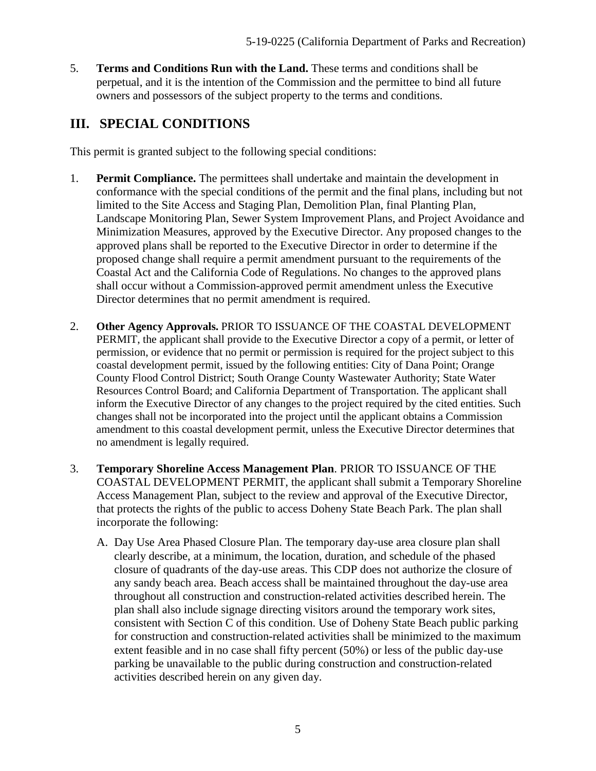5. **Terms and Conditions Run with the Land.** These terms and conditions shall be perpetual, and it is the intention of the Commission and the permittee to bind all future owners and possessors of the subject property to the terms and conditions.

# <span id="page-4-0"></span>**III. SPECIAL CONDITIONS**

This permit is granted subject to the following special conditions:

- 1. **Permit Compliance.** The permittees shall undertake and maintain the development in conformance with the special conditions of the permit and the final plans, including but not limited to the Site Access and Staging Plan, Demolition Plan, final Planting Plan, Landscape Monitoring Plan, Sewer System Improvement Plans, and Project Avoidance and Minimization Measures, approved by the Executive Director. Any proposed changes to the approved plans shall be reported to the Executive Director in order to determine if the proposed change shall require a permit amendment pursuant to the requirements of the Coastal Act and the California Code of Regulations. No changes to the approved plans shall occur without a Commission-approved permit amendment unless the Executive Director determines that no permit amendment is required.
- 2. **Other Agency Approvals.** PRIOR TO ISSUANCE OF THE COASTAL DEVELOPMENT PERMIT, the applicant shall provide to the Executive Director a copy of a permit, or letter of permission, or evidence that no permit or permission is required for the project subject to this coastal development permit, issued by the following entities: City of Dana Point; Orange County Flood Control District; South Orange County Wastewater Authority; State Water Resources Control Board; and California Department of Transportation. The applicant shall inform the Executive Director of any changes to the project required by the cited entities. Such changes shall not be incorporated into the project until the applicant obtains a Commission amendment to this coastal development permit, unless the Executive Director determines that no amendment is legally required.
- 3. **Temporary Shoreline Access Management Plan**. PRIOR TO ISSUANCE OF THE COASTAL DEVELOPMENT PERMIT, the applicant shall submit a Temporary Shoreline Access Management Plan, subject to the review and approval of the Executive Director, that protects the rights of the public to access Doheny State Beach Park. The plan shall incorporate the following:
	- A. Day Use Area Phased Closure Plan. The temporary day-use area closure plan shall clearly describe, at a minimum, the location, duration, and schedule of the phased closure of quadrants of the day-use areas. This CDP does not authorize the closure of any sandy beach area. Beach access shall be maintained throughout the day-use area throughout all construction and construction-related activities described herein. The plan shall also include signage directing visitors around the temporary work sites, consistent with Section C of this condition. Use of Doheny State Beach public parking for construction and construction-related activities shall be minimized to the maximum extent feasible and in no case shall fifty percent (50%) or less of the public day-use parking be unavailable to the public during construction and construction-related activities described herein on any given day.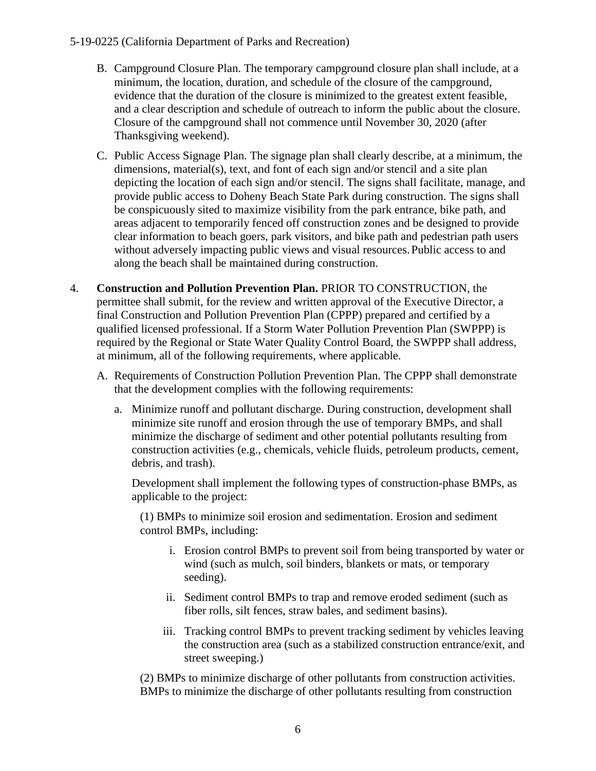- B. Campground Closure Plan. The temporary campground closure plan shall include, at a minimum, the location, duration, and schedule of the closure of the campground, evidence that the duration of the closure is minimized to the greatest extent feasible, and a clear description and schedule of outreach to inform the public about the closure. Closure of the campground shall not commence until November 30, 2020 (after Thanksgiving weekend).
- C. Public Access Signage Plan. The signage plan shall clearly describe, at a minimum, the dimensions, material(s), text, and font of each sign and/or stencil and a site plan depicting the location of each sign and/or stencil. The signs shall facilitate, manage, and provide public access to Doheny Beach State Park during construction. The signs shall be conspicuously sited to maximize visibility from the park entrance, bike path, and areas adjacent to temporarily fenced off construction zones and be designed to provide clear information to beach goers, park visitors, and bike path and pedestrian path users without adversely impacting public views and visual resources. Public access to and along the beach shall be maintained during construction.
- 4. **Construction and Pollution Prevention Plan.** PRIOR TO CONSTRUCTION, the permittee shall submit, for the review and written approval of the Executive Director, a final Construction and Pollution Prevention Plan (CPPP) prepared and certified by a qualified licensed professional. If a Storm Water Pollution Prevention Plan (SWPPP) is required by the Regional or State Water Quality Control Board, the SWPPP shall address, at minimum, all of the following requirements, where applicable.
	- A. Requirements of Construction Pollution Prevention Plan. The CPPP shall demonstrate that the development complies with the following requirements:
		- a. Minimize runoff and pollutant discharge. During construction, development shall minimize site runoff and erosion through the use of temporary BMPs, and shall minimize the discharge of sediment and other potential pollutants resulting from construction activities (e.g., chemicals, vehicle fluids, petroleum products, cement, debris, and trash).

Development shall implement the following types of construction-phase BMPs, as applicable to the project:

(1) BMPs to minimize soil erosion and sedimentation. Erosion and sediment control BMPs, including:

- i. Erosion control BMPs to prevent soil from being transported by water or wind (such as mulch, soil binders, blankets or mats, or temporary seeding).
- ii. Sediment control BMPs to trap and remove eroded sediment (such as fiber rolls, silt fences, straw bales, and sediment basins).
- iii. Tracking control BMPs to prevent tracking sediment by vehicles leaving the construction area (such as a stabilized construction entrance/exit, and street sweeping.)

(2) BMPs to minimize discharge of other pollutants from construction activities. BMPs to minimize the discharge of other pollutants resulting from construction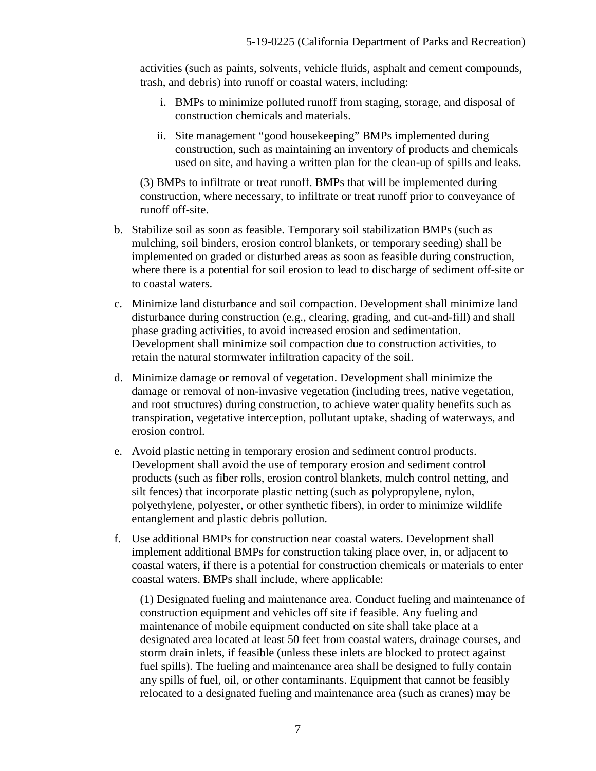activities (such as paints, solvents, vehicle fluids, asphalt and cement compounds, trash, and debris) into runoff or coastal waters, including:

- i. BMPs to minimize polluted runoff from staging, storage, and disposal of construction chemicals and materials.
- ii. Site management "good housekeeping" BMPs implemented during construction, such as maintaining an inventory of products and chemicals used on site, and having a written plan for the clean-up of spills and leaks.

(3) BMPs to infiltrate or treat runoff. BMPs that will be implemented during construction, where necessary, to infiltrate or treat runoff prior to conveyance of runoff off-site.

- b. Stabilize soil as soon as feasible. Temporary soil stabilization BMPs (such as mulching, soil binders, erosion control blankets, or temporary seeding) shall be implemented on graded or disturbed areas as soon as feasible during construction, where there is a potential for soil erosion to lead to discharge of sediment off-site or to coastal waters.
- c. Minimize land disturbance and soil compaction. Development shall minimize land disturbance during construction (e.g., clearing, grading, and cut-and-fill) and shall phase grading activities, to avoid increased erosion and sedimentation. Development shall minimize soil compaction due to construction activities, to retain the natural stormwater infiltration capacity of the soil.
- d. Minimize damage or removal of vegetation. Development shall minimize the damage or removal of non-invasive vegetation (including trees, native vegetation, and root structures) during construction, to achieve water quality benefits such as transpiration, vegetative interception, pollutant uptake, shading of waterways, and erosion control.
- e. Avoid plastic netting in temporary erosion and sediment control products. Development shall avoid the use of temporary erosion and sediment control products (such as fiber rolls, erosion control blankets, mulch control netting, and silt fences) that incorporate plastic netting (such as polypropylene, nylon, polyethylene, polyester, or other synthetic fibers), in order to minimize wildlife entanglement and plastic debris pollution.
- f. Use additional BMPs for construction near coastal waters. Development shall implement additional BMPs for construction taking place over, in, or adjacent to coastal waters, if there is a potential for construction chemicals or materials to enter coastal waters. BMPs shall include, where applicable:

(1) Designated fueling and maintenance area. Conduct fueling and maintenance of construction equipment and vehicles off site if feasible. Any fueling and maintenance of mobile equipment conducted on site shall take place at a designated area located at least 50 feet from coastal waters, drainage courses, and storm drain inlets, if feasible (unless these inlets are blocked to protect against fuel spills). The fueling and maintenance area shall be designed to fully contain any spills of fuel, oil, or other contaminants. Equipment that cannot be feasibly relocated to a designated fueling and maintenance area (such as cranes) may be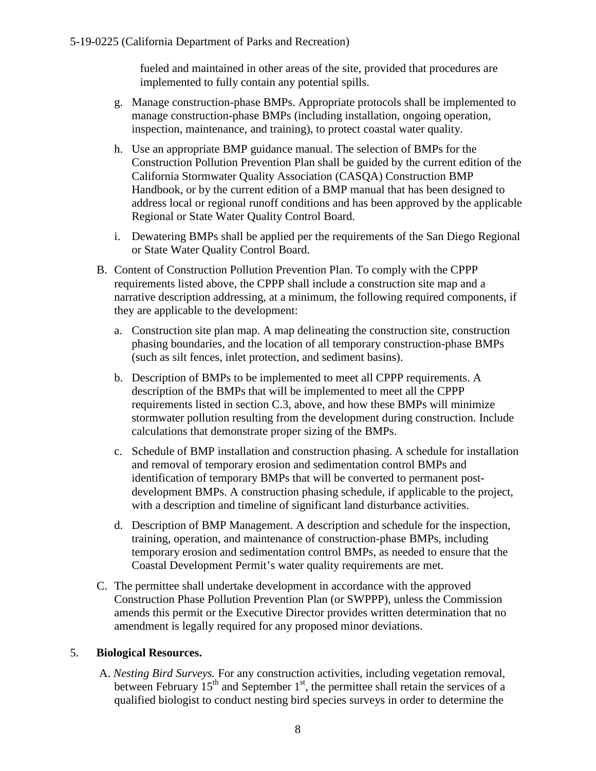fueled and maintained in other areas of the site, provided that procedures are implemented to fully contain any potential spills.

- g. Manage construction-phase BMPs. Appropriate protocols shall be implemented to manage construction-phase BMPs (including installation, ongoing operation, inspection, maintenance, and training), to protect coastal water quality.
- h. Use an appropriate BMP guidance manual. The selection of BMPs for the Construction Pollution Prevention Plan shall be guided by the current edition of the California Stormwater Quality Association (CASQA) Construction BMP Handbook, or by the current edition of a BMP manual that has been designed to address local or regional runoff conditions and has been approved by the applicable Regional or State Water Quality Control Board.
- i. Dewatering BMPs shall be applied per the requirements of the San Diego Regional or State Water Quality Control Board.
- B. Content of Construction Pollution Prevention Plan. To comply with the CPPP requirements listed above, the CPPP shall include a construction site map and a narrative description addressing, at a minimum, the following required components, if they are applicable to the development:
	- a. Construction site plan map. A map delineating the construction site, construction phasing boundaries, and the location of all temporary construction-phase BMPs (such as silt fences, inlet protection, and sediment basins).
	- b. Description of BMPs to be implemented to meet all CPPP requirements. A description of the BMPs that will be implemented to meet all the CPPP requirements listed in section C.3, above, and how these BMPs will minimize stormwater pollution resulting from the development during construction. Include calculations that demonstrate proper sizing of the BMPs.
	- c. Schedule of BMP installation and construction phasing. A schedule for installation and removal of temporary erosion and sedimentation control BMPs and identification of temporary BMPs that will be converted to permanent postdevelopment BMPs. A construction phasing schedule, if applicable to the project, with a description and timeline of significant land disturbance activities.
	- d. Description of BMP Management. A description and schedule for the inspection, training, operation, and maintenance of construction-phase BMPs, including temporary erosion and sedimentation control BMPs, as needed to ensure that the Coastal Development Permit's water quality requirements are met.
- C. The permittee shall undertake development in accordance with the approved Construction Phase Pollution Prevention Plan (or SWPPP), unless the Commission amends this permit or the Executive Director provides written determination that no amendment is legally required for any proposed minor deviations.

## 5. **Biological Resources.**

A. *Nesting Bird Surveys.* For any construction activities, including vegetation removal, between February  $15<sup>th</sup>$  and September  $1<sup>st</sup>$ , the permittee shall retain the services of a qualified biologist to conduct nesting bird species surveys in order to determine the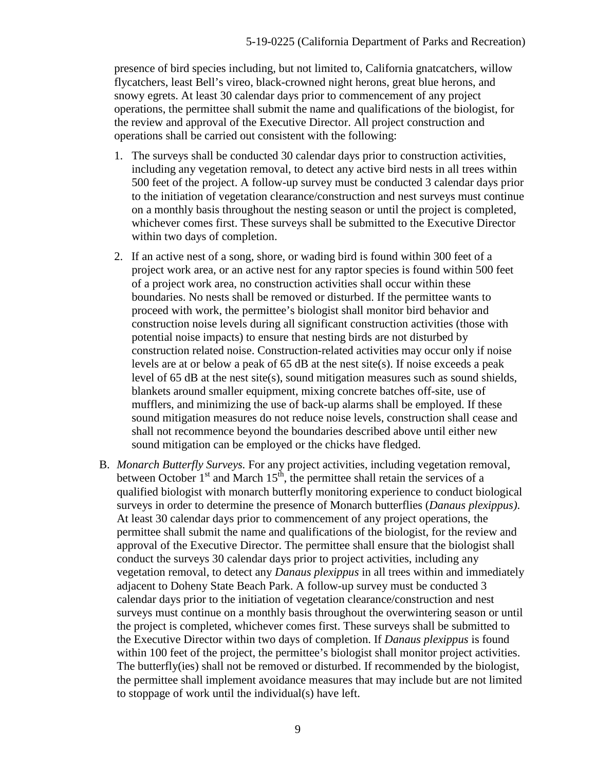presence of bird species including, but not limited to, California gnatcatchers, willow flycatchers, least Bell's vireo, black-crowned night herons, great blue herons, and snowy egrets. At least 30 calendar days prior to commencement of any project operations, the permittee shall submit the name and qualifications of the biologist, for the review and approval of the Executive Director. All project construction and operations shall be carried out consistent with the following:

- 1. The surveys shall be conducted 30 calendar days prior to construction activities, including any vegetation removal, to detect any active bird nests in all trees within 500 feet of the project. A follow-up survey must be conducted 3 calendar days prior to the initiation of vegetation clearance/construction and nest surveys must continue on a monthly basis throughout the nesting season or until the project is completed, whichever comes first. These surveys shall be submitted to the Executive Director within two days of completion.
- 2. If an active nest of a song, shore, or wading bird is found within 300 feet of a project work area, or an active nest for any raptor species is found within 500 feet of a project work area, no construction activities shall occur within these boundaries. No nests shall be removed or disturbed. If the permittee wants to proceed with work, the permittee's biologist shall monitor bird behavior and construction noise levels during all significant construction activities (those with potential noise impacts) to ensure that nesting birds are not disturbed by construction related noise. Construction-related activities may occur only if noise levels are at or below a peak of  $65$  dB at the nest site(s). If noise exceeds a peak level of 65 dB at the nest site(s), sound mitigation measures such as sound shields, blankets around smaller equipment, mixing concrete batches off-site, use of mufflers, and minimizing the use of back-up alarms shall be employed. If these sound mitigation measures do not reduce noise levels, construction shall cease and shall not recommence beyond the boundaries described above until either new sound mitigation can be employed or the chicks have fledged.
- B. *Monarch Butterfly Surveys.* For any project activities, including vegetation removal, between October  $1<sup>st</sup>$  and March  $15<sup>th</sup>$ , the permittee shall retain the services of a qualified biologist with monarch butterfly monitoring experience to conduct biological surveys in order to determine the presence of Monarch butterflies (*Danaus plexippus)*. At least 30 calendar days prior to commencement of any project operations, the permittee shall submit the name and qualifications of the biologist, for the review and approval of the Executive Director. The permittee shall ensure that the biologist shall conduct the surveys 30 calendar days prior to project activities, including any vegetation removal, to detect any *Danaus plexippus* in all trees within and immediately adjacent to Doheny State Beach Park. A follow-up survey must be conducted 3 calendar days prior to the initiation of vegetation clearance/construction and nest surveys must continue on a monthly basis throughout the overwintering season or until the project is completed, whichever comes first. These surveys shall be submitted to the Executive Director within two days of completion. If *Danaus plexippus* is found within 100 feet of the project, the permittee's biologist shall monitor project activities. The butterfly(ies) shall not be removed or disturbed. If recommended by the biologist, the permittee shall implement avoidance measures that may include but are not limited to stoppage of work until the individual(s) have left.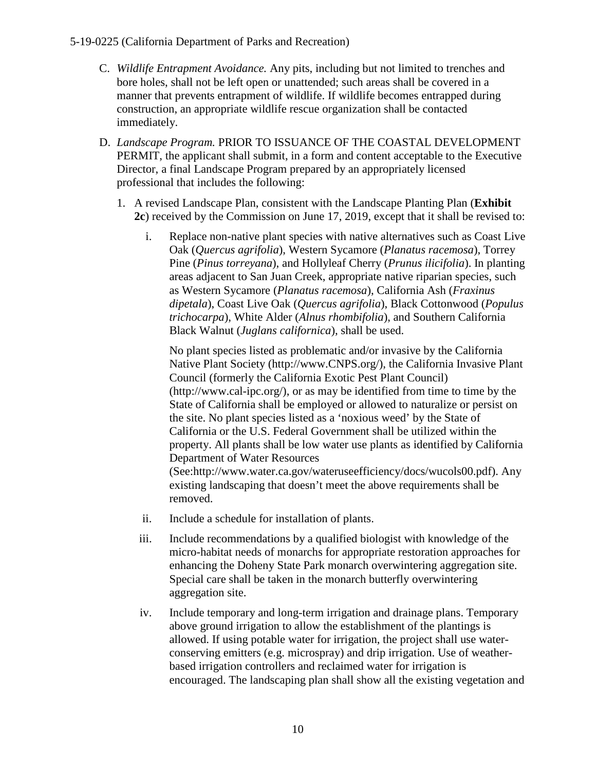- C. *Wildlife Entrapment Avoidance.* Any pits, including but not limited to trenches and bore holes, shall not be left open or unattended; such areas shall be covered in a manner that prevents entrapment of wildlife. If wildlife becomes entrapped during construction, an appropriate wildlife rescue organization shall be contacted immediately.
- D. *Landscape Program.* PRIOR TO ISSUANCE OF THE COASTAL DEVELOPMENT PERMIT, the applicant shall submit, in a form and content acceptable to the Executive Director, a final Landscape Program prepared by an appropriately licensed professional that includes the following:
	- 1. A revised Landscape Plan, consistent with the Landscape Planting Plan (**[Exhibit](https://documents.coastal.ca.gov/reports/2019/9/W26d/W26d-9-2019-exhibits.pdf)  [2c](https://documents.coastal.ca.gov/reports/2019/9/W26d/W26d-9-2019-exhibits.pdf)**) received by the Commission on June 17, 2019, except that it shall be revised to:
		- i. Replace non-native plant species with native alternatives such as Coast Live Oak (*Quercus agrifolia*), Western Sycamore (*Planatus racemosa*), Torrey Pine (*Pinus torreyana*), and Hollyleaf Cherry (*Prunus ilicifolia*). In planting areas adjacent to San Juan Creek, appropriate native riparian species, such as Western Sycamore (*Planatus racemosa*), California Ash (*Fraxinus dipetala*), Coast Live Oak (*Quercus agrifolia*), Black Cottonwood (*Populus trichocarpa*), White Alder (*Alnus rhombifolia*), and Southern California Black Walnut (*Juglans californica*), shall be used.

No plant species listed as problematic and/or invasive by the California Native Plant Society (http://www.CNPS.org/), the California Invasive Plant Council (formerly the California Exotic Pest Plant Council) (http://www.cal-ipc.org/), or as may be identified from time to time by the State of California shall be employed or allowed to naturalize or persist on the site. No plant species listed as a 'noxious weed' by the State of California or the U.S. Federal Government shall be utilized within the property. All plants shall be low water use plants as identified by California Department of Water Resources (See:http://www.water.ca.gov/wateruseefficiency/docs/wucols00.pdf). Any existing landscaping that doesn't meet the above requirements shall be

removed.

- ii. Include a schedule for installation of plants.
- iii. Include recommendations by a qualified biologist with knowledge of the micro-habitat needs of monarchs for appropriate restoration approaches for enhancing the Doheny State Park monarch overwintering aggregation site. Special care shall be taken in the monarch butterfly overwintering aggregation site.
- iv. Include temporary and long-term irrigation and drainage plans. Temporary above ground irrigation to allow the establishment of the plantings is allowed. If using potable water for irrigation, the project shall use waterconserving emitters (e.g. microspray) and drip irrigation. Use of weatherbased irrigation controllers and reclaimed water for irrigation is encouraged. The landscaping plan shall show all the existing vegetation and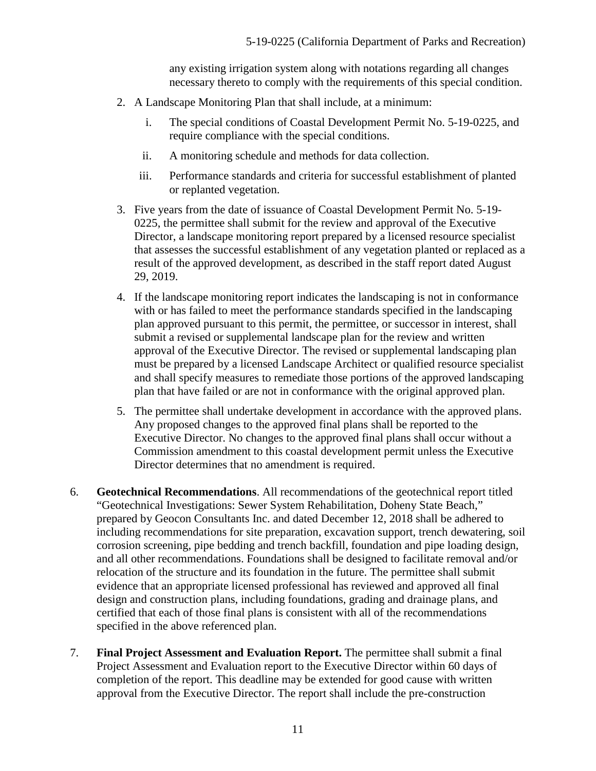any existing irrigation system along with notations regarding all changes necessary thereto to comply with the requirements of this special condition.

- 2. A Landscape Monitoring Plan that shall include, at a minimum:
	- i. The special conditions of Coastal Development Permit No. 5-19-0225, and require compliance with the special conditions.
	- ii. A monitoring schedule and methods for data collection.
	- iii. Performance standards and criteria for successful establishment of planted or replanted vegetation.
- 3. Five years from the date of issuance of Coastal Development Permit No. 5-19- 0225, the permittee shall submit for the review and approval of the Executive Director, a landscape monitoring report prepared by a licensed resource specialist that assesses the successful establishment of any vegetation planted or replaced as a result of the approved development, as described in the staff report dated August 29, 2019.
- 4. If the landscape monitoring report indicates the landscaping is not in conformance with or has failed to meet the performance standards specified in the landscaping plan approved pursuant to this permit, the permittee, or successor in interest, shall submit a revised or supplemental landscape plan for the review and written approval of the Executive Director. The revised or supplemental landscaping plan must be prepared by a licensed Landscape Architect or qualified resource specialist and shall specify measures to remediate those portions of the approved landscaping plan that have failed or are not in conformance with the original approved plan.
- 5. The permittee shall undertake development in accordance with the approved plans. Any proposed changes to the approved final plans shall be reported to the Executive Director. No changes to the approved final plans shall occur without a Commission amendment to this coastal development permit unless the Executive Director determines that no amendment is required.
- 6. **Geotechnical Recommendations**. All recommendations of the geotechnical report titled "Geotechnical Investigations: Sewer System Rehabilitation, Doheny State Beach," prepared by Geocon Consultants Inc. and dated December 12, 2018 shall be adhered to including recommendations for site preparation, excavation support, trench dewatering, soil corrosion screening, pipe bedding and trench backfill, foundation and pipe loading design, and all other recommendations. Foundations shall be designed to facilitate removal and/or relocation of the structure and its foundation in the future. The permittee shall submit evidence that an appropriate licensed professional has reviewed and approved all final design and construction plans, including foundations, grading and drainage plans, and certified that each of those final plans is consistent with all of the recommendations specified in the above referenced plan.
- 7. **Final Project Assessment and Evaluation Report.** The permittee shall submit a final Project Assessment and Evaluation report to the Executive Director within 60 days of completion of the report. This deadline may be extended for good cause with written approval from the Executive Director. The report shall include the pre-construction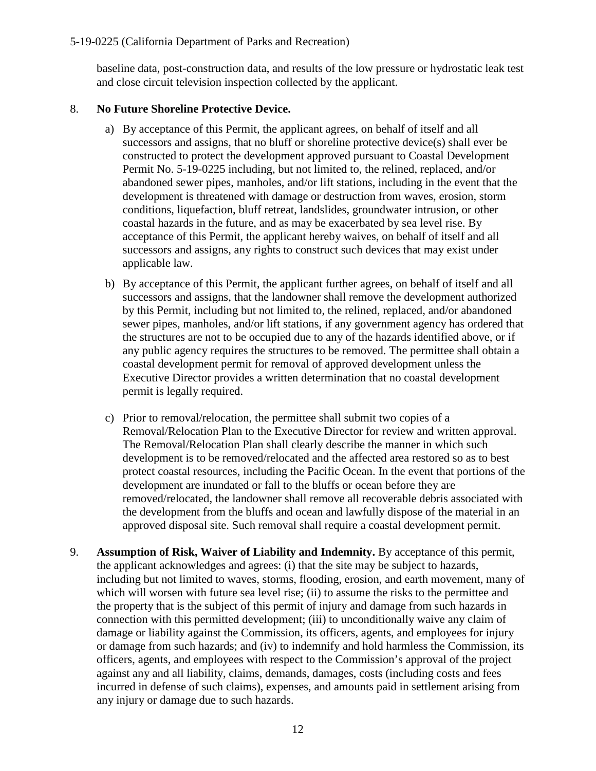baseline data, post-construction data, and results of the low pressure or hydrostatic leak test and close circuit television inspection collected by the applicant.

### 8. **No Future Shoreline Protective Device.**

- a) By acceptance of this Permit, the applicant agrees, on behalf of itself and all successors and assigns, that no bluff or shoreline protective device(s) shall ever be constructed to protect the development approved pursuant to Coastal Development Permit No. 5-19-0225 including, but not limited to, the relined, replaced, and/or abandoned sewer pipes, manholes, and/or lift stations, including in the event that the development is threatened with damage or destruction from waves, erosion, storm conditions, liquefaction, bluff retreat, landslides, groundwater intrusion, or other coastal hazards in the future, and as may be exacerbated by sea level rise. By acceptance of this Permit, the applicant hereby waives, on behalf of itself and all successors and assigns, any rights to construct such devices that may exist under applicable law.
- b) By acceptance of this Permit, the applicant further agrees, on behalf of itself and all successors and assigns, that the landowner shall remove the development authorized by this Permit, including but not limited to, the relined, replaced, and/or abandoned sewer pipes, manholes, and/or lift stations, if any government agency has ordered that the structures are not to be occupied due to any of the hazards identified above, or if any public agency requires the structures to be removed. The permittee shall obtain a coastal development permit for removal of approved development unless the Executive Director provides a written determination that no coastal development permit is legally required.
- c) Prior to removal/relocation, the permittee shall submit two copies of a Removal/Relocation Plan to the Executive Director for review and written approval. The Removal/Relocation Plan shall clearly describe the manner in which such development is to be removed/relocated and the affected area restored so as to best protect coastal resources, including the Pacific Ocean. In the event that portions of the development are inundated or fall to the bluffs or ocean before they are removed/relocated, the landowner shall remove all recoverable debris associated with the development from the bluffs and ocean and lawfully dispose of the material in an approved disposal site. Such removal shall require a coastal development permit.
- 9. **Assumption of Risk, Waiver of Liability and Indemnity.** By acceptance of this permit, the applicant acknowledges and agrees: (i) that the site may be subject to hazards, including but not limited to waves, storms, flooding, erosion, and earth movement, many of which will worsen with future sea level rise; (ii) to assume the risks to the permittee and the property that is the subject of this permit of injury and damage from such hazards in connection with this permitted development; (iii) to unconditionally waive any claim of damage or liability against the Commission, its officers, agents, and employees for injury or damage from such hazards; and (iv) to indemnify and hold harmless the Commission, its officers, agents, and employees with respect to the Commission's approval of the project against any and all liability, claims, demands, damages, costs (including costs and fees incurred in defense of such claims), expenses, and amounts paid in settlement arising from any injury or damage due to such hazards.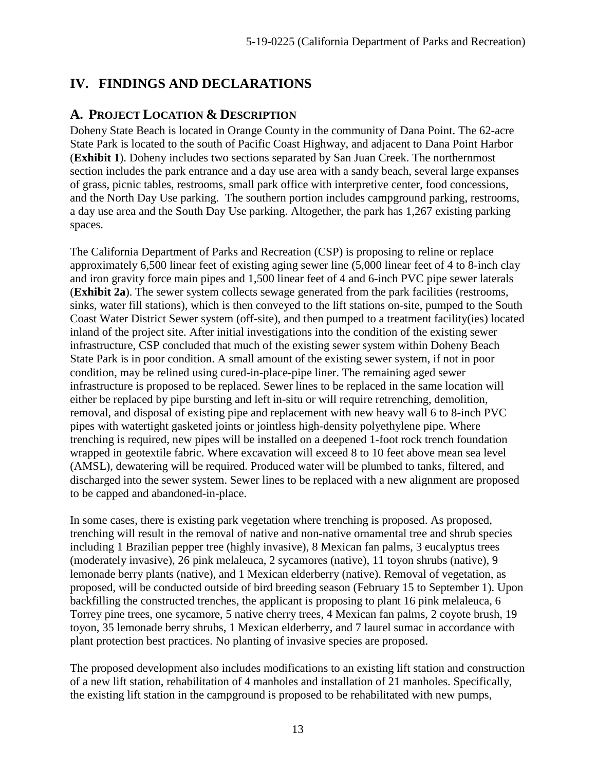# <span id="page-12-1"></span><span id="page-12-0"></span>**IV. FINDINGS AND DECLARATIONS**

## **A. PROJECT LOCATION & DESCRIPTION**

Doheny State Beach is located in Orange County in the community of Dana Point. The 62-acre State Park is located to the south of Pacific Coast Highway, and adjacent to Dana Point Harbor (**[Exhibit 1](https://documents.coastal.ca.gov/reports/2019/9/W26d/W26d-9-2019-exhibits.pdf)**). Doheny includes two sections separated by San Juan Creek. The northernmost section includes the park entrance and a day use area with a sandy beach, several large expanses of grass, picnic tables, restrooms, small park office with interpretive center, food concessions, and the North Day Use parking. The southern portion includes campground parking, restrooms, a day use area and the South Day Use parking. Altogether, the park has 1,267 existing parking spaces.

The California Department of Parks and Recreation (CSP) is proposing to reline or replace approximately 6,500 linear feet of existing aging sewer line (5,000 linear feet of 4 to 8-inch clay and iron gravity force main pipes and 1,500 linear feet of 4 and 6-inch PVC pipe sewer laterals (**[Exhibit 2a](https://documents.coastal.ca.gov/reports/2019/9/W26d/W26d-9-2019-exhibits.pdf)**). The sewer system collects sewage generated from the park facilities (restrooms, sinks, water fill stations), which is then conveyed to the lift stations on-site, pumped to the South Coast Water District Sewer system (off-site), and then pumped to a treatment facility(ies) located inland of the project site. After initial investigations into the condition of the existing sewer infrastructure, CSP concluded that much of the existing sewer system within Doheny Beach State Park is in poor condition. A small amount of the existing sewer system, if not in poor condition, may be relined using cured-in-place-pipe liner. The remaining aged sewer infrastructure is proposed to be replaced. Sewer lines to be replaced in the same location will either be replaced by pipe bursting and left in-situ or will require retrenching, demolition, removal, and disposal of existing pipe and replacement with new heavy wall 6 to 8-inch PVC pipes with watertight gasketed joints or jointless high-density polyethylene pipe. Where trenching is required, new pipes will be installed on a deepened 1-foot rock trench foundation wrapped in geotextile fabric. Where excavation will exceed 8 to 10 feet above mean sea level (AMSL), dewatering will be required. Produced water will be plumbed to tanks, filtered, and discharged into the sewer system. Sewer lines to be replaced with a new alignment are proposed to be capped and abandoned-in-place.

In some cases, there is existing park vegetation where trenching is proposed. As proposed, trenching will result in the removal of native and non-native ornamental tree and shrub species including 1 Brazilian pepper tree (highly invasive), 8 Mexican fan palms, 3 eucalyptus trees (moderately invasive), 26 pink melaleuca, 2 sycamores (native), 11 toyon shrubs (native), 9 lemonade berry plants (native), and 1 Mexican elderberry (native). Removal of vegetation, as proposed, will be conducted outside of bird breeding season (February 15 to September 1). Upon backfilling the constructed trenches, the applicant is proposing to plant 16 pink melaleuca, 6 Torrey pine trees, one sycamore, 5 native cherry trees, 4 Mexican fan palms, 2 coyote brush, 19 toyon, 35 lemonade berry shrubs, 1 Mexican elderberry, and 7 laurel sumac in accordance with plant protection best practices. No planting of invasive species are proposed.

The proposed development also includes modifications to an existing lift station and construction of a new lift station, rehabilitation of 4 manholes and installation of 21 manholes. Specifically, the existing lift station in the campground is proposed to be rehabilitated with new pumps,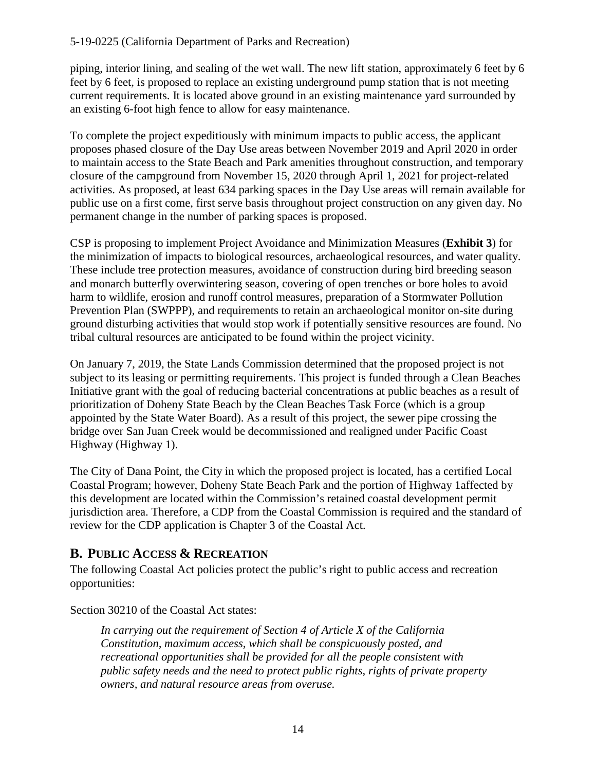piping, interior lining, and sealing of the wet wall. The new lift station, approximately 6 feet by 6 feet by 6 feet, is proposed to replace an existing underground pump station that is not meeting current requirements. It is located above ground in an existing maintenance yard surrounded by an existing 6-foot high fence to allow for easy maintenance.

To complete the project expeditiously with minimum impacts to public access, the applicant proposes phased closure of the Day Use areas between November 2019 and April 2020 in order to maintain access to the State Beach and Park amenities throughout construction, and temporary closure of the campground from November 15, 2020 through April 1, 2021 for project-related activities. As proposed, at least 634 parking spaces in the Day Use areas will remain available for public use on a first come, first serve basis throughout project construction on any given day. No permanent change in the number of parking spaces is proposed.

CSP is proposing to implement Project Avoidance and Minimization Measures (**[Exhibit 3](https://documents.coastal.ca.gov/reports/2019/9/W26d/W26d-9-2019-exhibits.pdf)**) for the minimization of impacts to biological resources, archaeological resources, and water quality. These include tree protection measures, avoidance of construction during bird breeding season and monarch butterfly overwintering season, covering of open trenches or bore holes to avoid harm to wildlife, erosion and runoff control measures, preparation of a Stormwater Pollution Prevention Plan (SWPPP), and requirements to retain an archaeological monitor on-site during ground disturbing activities that would stop work if potentially sensitive resources are found. No tribal cultural resources are anticipated to be found within the project vicinity.

On January 7, 2019, the State Lands Commission determined that the proposed project is not subject to its leasing or permitting requirements. This project is funded through a Clean Beaches Initiative grant with the goal of reducing bacterial concentrations at public beaches as a result of prioritization of Doheny State Beach by the Clean Beaches Task Force (which is a group appointed by the State Water Board). As a result of this project, the sewer pipe crossing the bridge over San Juan Creek would be decommissioned and realigned under Pacific Coast Highway (Highway 1).

The City of Dana Point, the City in which the proposed project is located, has a certified Local Coastal Program; however, Doheny State Beach Park and the portion of Highway 1affected by this development are located within the Commission's retained coastal development permit jurisdiction area. Therefore, a CDP from the Coastal Commission is required and the standard of review for the CDP application is Chapter 3 of the Coastal Act.

# <span id="page-13-0"></span>**B. PUBLIC ACCESS & RECREATION**

The following Coastal Act policies protect the public's right to public access and recreation opportunities:

Section 30210 of the Coastal Act states:

 *In carrying out the requirement of Section 4 of Article X of the California Constitution, maximum access, which shall be conspicuously posted, and recreational opportunities shall be provided for all the people consistent with public safety needs and the need to protect public rights, rights of private property owners, and natural resource areas from overuse.*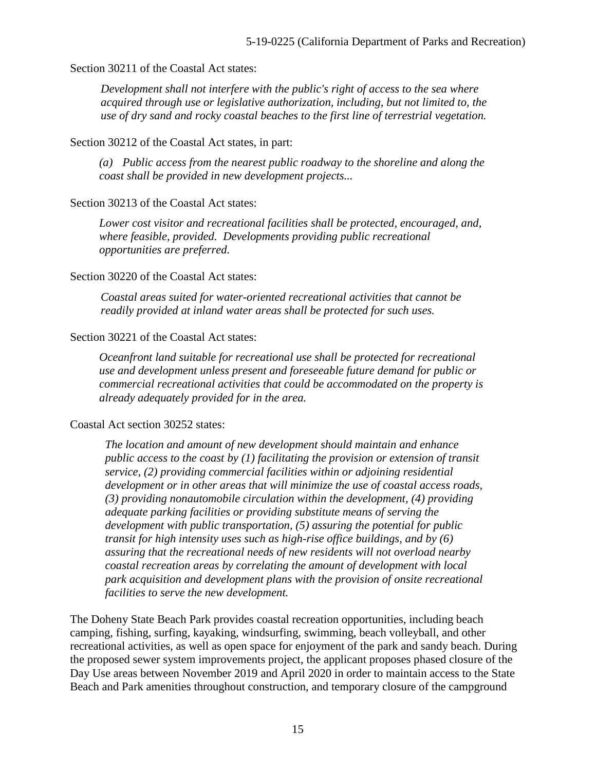#### Section 30211 of the Coastal Act states:

 *Development shall not interfere with the public's right of access to the sea where acquired through use or legislative authorization, including, but not limited to, the use of dry sand and rocky coastal beaches to the first line of terrestrial vegetation.* 

#### Section 30212 of the Coastal Act states, in part:

*(a) Public access from the nearest public roadway to the shoreline and along the coast shall be provided in new development projects...* 

#### Section 30213 of the Coastal Act states:

*Lower cost visitor and recreational facilities shall be protected, encouraged, and, where feasible, provided. Developments providing public recreational opportunities are preferred.* 

#### Section 30220 of the Coastal Act states:

 *Coastal areas suited for water-oriented recreational activities that cannot be readily provided at inland water areas shall be protected for such uses.* 

#### Section 30221 of the Coastal Act states:

*Oceanfront land suitable for recreational use shall be protected for recreational use and development unless present and foreseeable future demand for public or commercial recreational activities that could be accommodated on the property is already adequately provided for in the area.* 

#### Coastal Act section 30252 states:

*The location and amount of new development should maintain and enhance public access to the coast by (1) facilitating the provision or extension of transit service, (2) providing commercial facilities within or adjoining residential development or in other areas that will minimize the use of coastal access roads, (3) providing nonautomobile circulation within the development, (4) providing adequate parking facilities or providing substitute means of serving the development with public transportation, (5) assuring the potential for public transit for high intensity uses such as high-rise office buildings, and by (6) assuring that the recreational needs of new residents will not overload nearby coastal recreation areas by correlating the amount of development with local park acquisition and development plans with the provision of onsite recreational facilities to serve the new development.*

The Doheny State Beach Park provides coastal recreation opportunities, including beach camping, fishing, surfing, kayaking, windsurfing, swimming, beach volleyball, and other recreational activities, as well as open space for enjoyment of the park and sandy beach. During the proposed sewer system improvements project, the applicant proposes phased closure of the Day Use areas between November 2019 and April 2020 in order to maintain access to the State Beach and Park amenities throughout construction, and temporary closure of the campground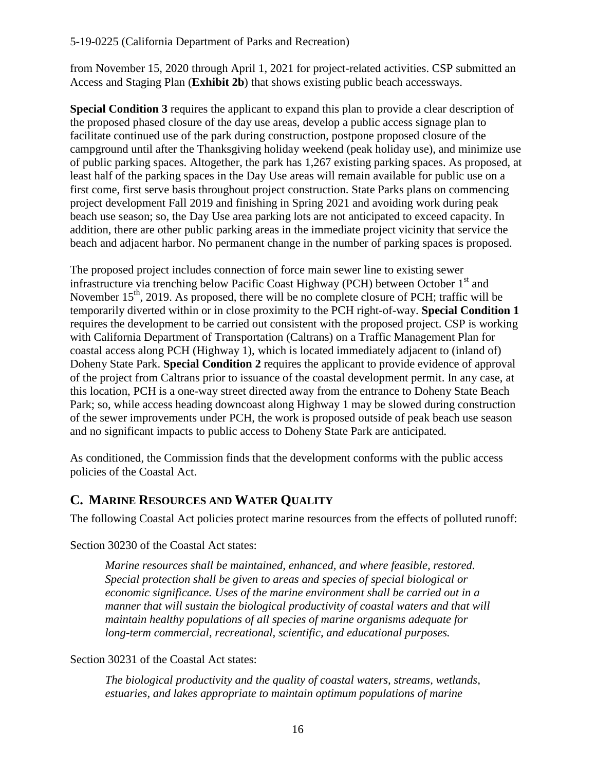from November 15, 2020 through April 1, 2021 for project-related activities. CSP submitted an Access and Staging Plan (**[Exhibit 2b](https://documents.coastal.ca.gov/reports/2019/9/W26d/W26d-9-2019-exhibits.pdf)**) that shows existing public beach accessways.

**Special Condition 3** requires the applicant to expand this plan to provide a clear description of the proposed phased closure of the day use areas, develop a public access signage plan to facilitate continued use of the park during construction, postpone proposed closure of the campground until after the Thanksgiving holiday weekend (peak holiday use), and minimize use of public parking spaces. Altogether, the park has 1,267 existing parking spaces. As proposed, at least half of the parking spaces in the Day Use areas will remain available for public use on a first come, first serve basis throughout project construction. State Parks plans on commencing project development Fall 2019 and finishing in Spring 2021 and avoiding work during peak beach use season; so, the Day Use area parking lots are not anticipated to exceed capacity. In addition, there are other public parking areas in the immediate project vicinity that service the beach and adjacent harbor. No permanent change in the number of parking spaces is proposed.

The proposed project includes connection of force main sewer line to existing sewer infrastructure via trenching below Pacific Coast Highway (PCH) between October 1<sup>st</sup> and November  $15<sup>th</sup>$ , 2019. As proposed, there will be no complete closure of PCH; traffic will be temporarily diverted within or in close proximity to the PCH right-of-way. **Special Condition 1**  requires the development to be carried out consistent with the proposed project. CSP is working with California Department of Transportation (Caltrans) on a Traffic Management Plan for coastal access along PCH (Highway 1), which is located immediately adjacent to (inland of) Doheny State Park. **Special Condition 2** requires the applicant to provide evidence of approval of the project from Caltrans prior to issuance of the coastal development permit. In any case, at this location, PCH is a one-way street directed away from the entrance to Doheny State Beach Park; so, while access heading downcoast along Highway 1 may be slowed during construction of the sewer improvements under PCH, the work is proposed outside of peak beach use season and no significant impacts to public access to Doheny State Park are anticipated.

As conditioned, the Commission finds that the development conforms with the public access policies of the Coastal Act.

## <span id="page-15-0"></span>**C. MARINE RESOURCES AND WATER QUALITY**

The following Coastal Act policies protect marine resources from the effects of polluted runoff:

Section 30230 of the Coastal Act states:

*Marine resources shall be maintained, enhanced, and where feasible, restored. Special protection shall be given to areas and species of special biological or economic significance. Uses of the marine environment shall be carried out in a manner that will sustain the biological productivity of coastal waters and that will maintain healthy populations of all species of marine organisms adequate for long-term commercial, recreational, scientific, and educational purposes.* 

Section 30231 of the Coastal Act states:

*The biological productivity and the quality of coastal waters, streams, wetlands, estuaries, and lakes appropriate to maintain optimum populations of marine*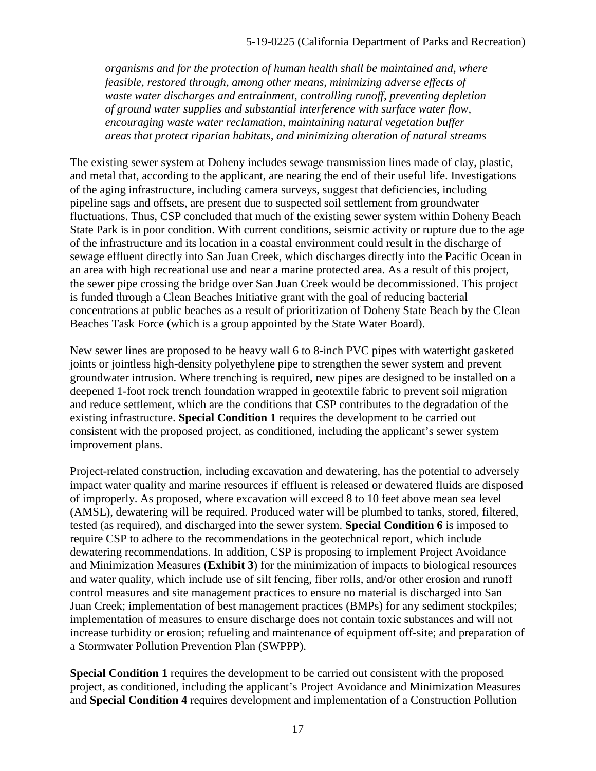*organisms and for the protection of human health shall be maintained and, where feasible, restored through, among other means, minimizing adverse effects of waste water discharges and entrainment, controlling runoff, preventing depletion of ground water supplies and substantial interference with surface water flow, encouraging waste water reclamation, maintaining natural vegetation buffer areas that protect riparian habitats, and minimizing alteration of natural streams* 

The existing sewer system at Doheny includes sewage transmission lines made of clay, plastic, and metal that, according to the applicant, are nearing the end of their useful life. Investigations of the aging infrastructure, including camera surveys, suggest that deficiencies, including pipeline sags and offsets, are present due to suspected soil settlement from groundwater fluctuations. Thus, CSP concluded that much of the existing sewer system within Doheny Beach State Park is in poor condition. With current conditions, seismic activity or rupture due to the age of the infrastructure and its location in a coastal environment could result in the discharge of sewage effluent directly into San Juan Creek, which discharges directly into the Pacific Ocean in an area with high recreational use and near a marine protected area. As a result of this project, the sewer pipe crossing the bridge over San Juan Creek would be decommissioned. This project is funded through a Clean Beaches Initiative grant with the goal of reducing bacterial concentrations at public beaches as a result of prioritization of Doheny State Beach by the Clean Beaches Task Force (which is a group appointed by the State Water Board).

New sewer lines are proposed to be heavy wall 6 to 8-inch PVC pipes with watertight gasketed joints or jointless high-density polyethylene pipe to strengthen the sewer system and prevent groundwater intrusion. Where trenching is required, new pipes are designed to be installed on a deepened 1-foot rock trench foundation wrapped in geotextile fabric to prevent soil migration and reduce settlement, which are the conditions that CSP contributes to the degradation of the existing infrastructure. **Special Condition 1** requires the development to be carried out consistent with the proposed project, as conditioned, including the applicant's sewer system improvement plans.

Project-related construction, including excavation and dewatering, has the potential to adversely impact water quality and marine resources if effluent is released or dewatered fluids are disposed of improperly. As proposed, where excavation will exceed 8 to 10 feet above mean sea level (AMSL), dewatering will be required. Produced water will be plumbed to tanks, stored, filtered, tested (as required), and discharged into the sewer system. **Special Condition 6** is imposed to require CSP to adhere to the recommendations in the geotechnical report, which include dewatering recommendations. In addition, CSP is proposing to implement Project Avoidance and Minimization Measures (**[Exhibit 3](https://documents.coastal.ca.gov/reports/2019/9/W26d/W26d-9-2019-exhibits.pdf)**) for the minimization of impacts to biological resources and water quality, which include use of silt fencing, fiber rolls, and/or other erosion and runoff control measures and site management practices to ensure no material is discharged into San Juan Creek; implementation of best management practices (BMPs) for any sediment stockpiles; implementation of measures to ensure discharge does not contain toxic substances and will not increase turbidity or erosion; refueling and maintenance of equipment off-site; and preparation of a Stormwater Pollution Prevention Plan (SWPPP).

**Special Condition 1** requires the development to be carried out consistent with the proposed project, as conditioned, including the applicant's Project Avoidance and Minimization Measures and **Special Condition 4** requires development and implementation of a Construction Pollution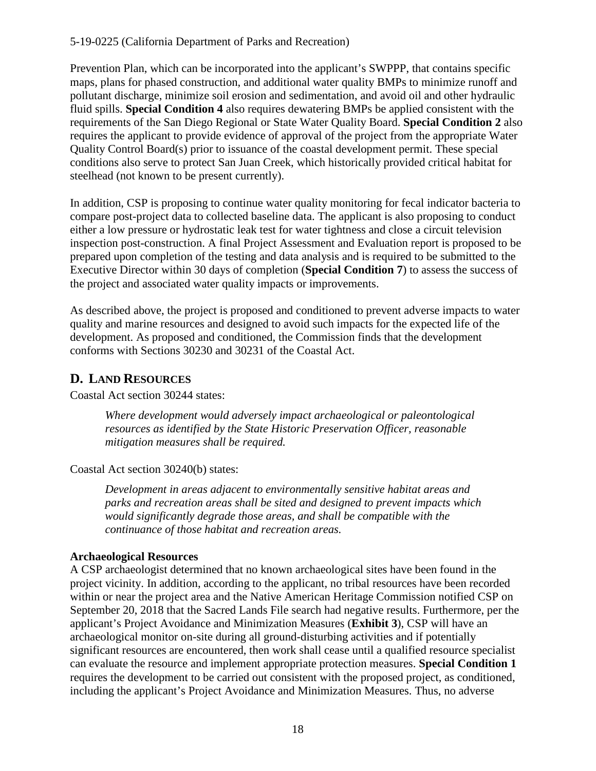Prevention Plan, which can be incorporated into the applicant's SWPPP, that contains specific maps, plans for phased construction, and additional water quality BMPs to minimize runoff and pollutant discharge, minimize soil erosion and sedimentation, and avoid oil and other hydraulic fluid spills. **Special Condition 4** also requires dewatering BMPs be applied consistent with the requirements of the San Diego Regional or State Water Quality Board. **Special Condition 2** also requires the applicant to provide evidence of approval of the project from the appropriate Water Quality Control Board(s) prior to issuance of the coastal development permit. These special conditions also serve to protect San Juan Creek, which historically provided critical habitat for steelhead (not known to be present currently).

In addition, CSP is proposing to continue water quality monitoring for fecal indicator bacteria to compare post-project data to collected baseline data. The applicant is also proposing to conduct either a low pressure or hydrostatic leak test for water tightness and close a circuit television inspection post-construction. A final Project Assessment and Evaluation report is proposed to be prepared upon completion of the testing and data analysis and is required to be submitted to the Executive Director within 30 days of completion (**Special Condition 7**) to assess the success of the project and associated water quality impacts or improvements.

As described above, the project is proposed and conditioned to prevent adverse impacts to water quality and marine resources and designed to avoid such impacts for the expected life of the development. As proposed and conditioned, the Commission finds that the development conforms with Sections 30230 and 30231 of the Coastal Act.

## <span id="page-17-0"></span>**D. LAND RESOURCES**

Coastal Act section 30244 states:

*Where development would adversely impact archaeological or paleontological resources as identified by the State Historic Preservation Officer, reasonable mitigation measures shall be required.* 

Coastal Act section 30240(b) states:

*Development in areas adjacent to environmentally sensitive habitat areas and parks and recreation areas shall be sited and designed to prevent impacts which would significantly degrade those areas, and shall be compatible with the continuance of those habitat and recreation areas.* 

### **Archaeological Resources**

A CSP archaeologist determined that no known archaeological sites have been found in the project vicinity. In addition, according to the applicant, no tribal resources have been recorded within or near the project area and the Native American Heritage Commission notified CSP on September 20, 2018 that the Sacred Lands File search had negative results. Furthermore, per the applicant's Project Avoidance and Minimization Measures (**[Exhibit 3](https://documents.coastal.ca.gov/reports/2019/9/W26d/W26d-9-2019-exhibits.pdf)**), CSP will have an archaeological monitor on-site during all ground-disturbing activities and if potentially significant resources are encountered, then work shall cease until a qualified resource specialist can evaluate the resource and implement appropriate protection measures. **Special Condition 1**  requires the development to be carried out consistent with the proposed project, as conditioned, including the applicant's Project Avoidance and Minimization Measures. Thus, no adverse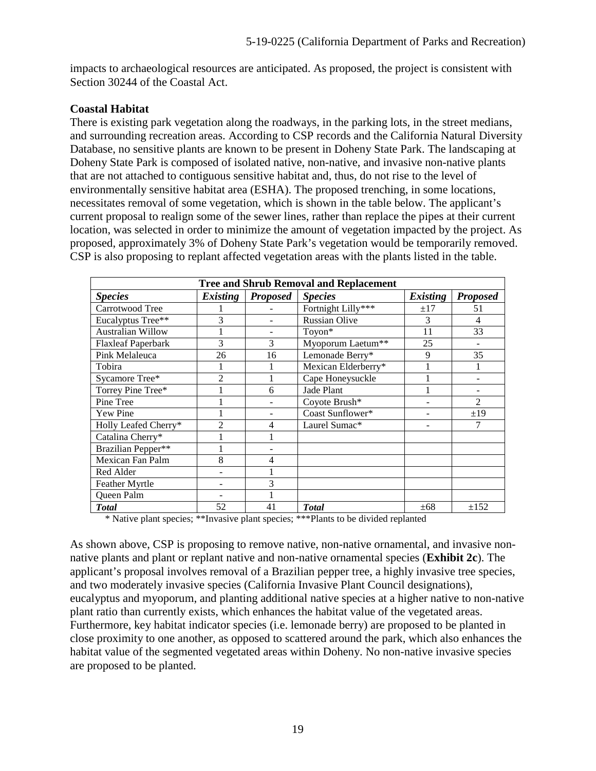impacts to archaeological resources are anticipated. As proposed, the project is consistent with Section 30244 of the Coastal Act.

### **Coastal Habitat**

There is existing park vegetation along the roadways, in the parking lots, in the street medians, and surrounding recreation areas. According to CSP records and the California Natural Diversity Database, no sensitive plants are known to be present in Doheny State Park. The landscaping at Doheny State Park is composed of isolated native, non-native, and invasive non-native plants that are not attached to contiguous sensitive habitat and, thus, do not rise to the level of environmentally sensitive habitat area (ESHA). The proposed trenching, in some locations, necessitates removal of some vegetation, which is shown in the table below. The applicant's current proposal to realign some of the sewer lines, rather than replace the pipes at their current location, was selected in order to minimize the amount of vegetation impacted by the project. As proposed, approximately 3% of Doheny State Park's vegetation would be temporarily removed. CSP is also proposing to replant affected vegetation areas with the plants listed in the table.

| <b>Tree and Shrub Removal and Replacement</b> |                 |                    |                                                                                                      |                          |                 |  |  |  |
|-----------------------------------------------|-----------------|--------------------|------------------------------------------------------------------------------------------------------|--------------------------|-----------------|--|--|--|
| <b>Species</b>                                | <b>Existing</b> | <b>Proposed</b>    | <b>Species</b>                                                                                       | <i>Existing</i>          | <b>Proposed</b> |  |  |  |
| Carrotwood Tree                               |                 |                    | Fortnight Lilly***                                                                                   | $\pm 17$                 | 51              |  |  |  |
| Eucalyptus Tree**                             | 3               |                    | <b>Russian Olive</b>                                                                                 | 3                        | 4               |  |  |  |
| <b>Australian Willow</b>                      |                 |                    | Toyon*                                                                                               | 11                       | 33              |  |  |  |
| <b>Flaxleaf Paperbark</b>                     | 3               | 3                  | Myoporum Laetum**                                                                                    | 25                       |                 |  |  |  |
| Pink Melaleuca                                | 26              | 16                 | Lemonade Berry*                                                                                      | 9                        | 35              |  |  |  |
| Tobira                                        |                 |                    | Mexican Elderberry*                                                                                  |                          |                 |  |  |  |
| Sycamore Tree*                                | $\mathfrak{D}$  |                    | Cape Honeysuckle                                                                                     |                          |                 |  |  |  |
| Torrey Pine Tree*                             |                 | 6                  | Jade Plant                                                                                           |                          |                 |  |  |  |
| Pine Tree                                     |                 |                    | Coyote Brush*                                                                                        |                          | $\overline{2}$  |  |  |  |
| Yew Pine                                      |                 |                    | Coast Sunflower*                                                                                     |                          | ±19             |  |  |  |
| Holly Leafed Cherry*                          | 2               | 4                  | Laurel Sumac*                                                                                        |                          | 7               |  |  |  |
| Catalina Cherry*                              |                 |                    |                                                                                                      |                          |                 |  |  |  |
| Brazilian Pepper**                            |                 |                    |                                                                                                      |                          |                 |  |  |  |
| Mexican Fan Palm                              | 8               | 4                  |                                                                                                      |                          |                 |  |  |  |
| Red Alder                                     |                 |                    |                                                                                                      |                          |                 |  |  |  |
| Feather Myrtle                                |                 | 3                  |                                                                                                      |                          |                 |  |  |  |
| Queen Palm                                    |                 |                    |                                                                                                      |                          |                 |  |  |  |
| <b>Total</b><br>$\cdots$                      | 52              | 41<br>$\mathbf{r}$ | <b>T</b> otal<br>$\mathbf{A}$ and $\mathbf{A}$ and $\mathbf{A}$ and $\mathbf{A}$<br>and a statement. | $\pm 68$<br>$\mathbf{r}$ | ±152            |  |  |  |

\* Native plant species; \*\*Invasive plant species; \*\*\*Plants to be divided replanted

As shown above, CSP is proposing to remove native, non-native ornamental, and invasive nonnative plants and plant or replant native and non-native ornamental species (**[Exhibit 2c](https://documents.coastal.ca.gov/reports/2019/9/W26d/W26d-9-2019-exhibits.pdf)**). The applicant's proposal involves removal of a Brazilian pepper tree, a highly invasive tree species, and two moderately invasive species (California Invasive Plant Council designations), eucalyptus and myoporum, and planting additional native species at a higher native to non-native plant ratio than currently exists, which enhances the habitat value of the vegetated areas. Furthermore, key habitat indicator species (i.e. lemonade berry) are proposed to be planted in close proximity to one another, as opposed to scattered around the park, which also enhances the habitat value of the segmented vegetated areas within Doheny. No non-native invasive species are proposed to be planted.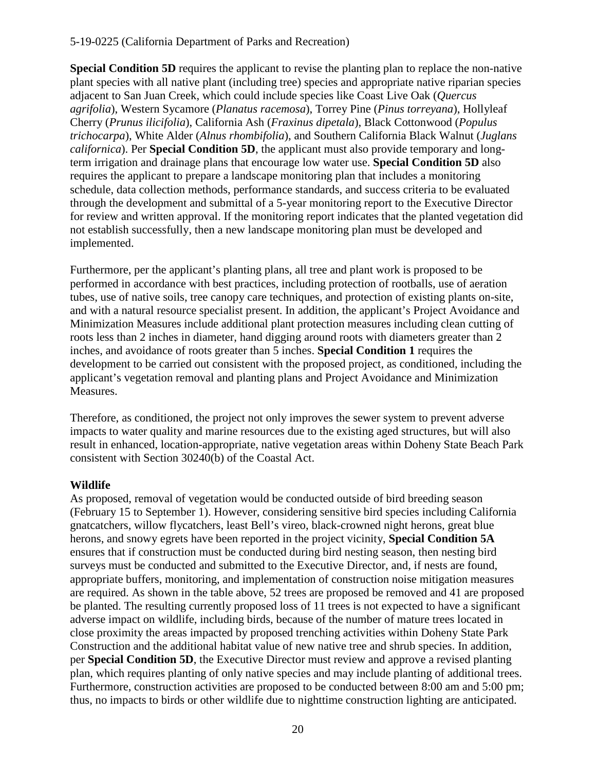**Special Condition 5D** requires the applicant to revise the planting plan to replace the non-native plant species with all native plant (including tree) species and appropriate native riparian species adjacent to San Juan Creek, which could include species like Coast Live Oak (*Quercus agrifolia*), Western Sycamore (*Planatus racemosa*), Torrey Pine (*Pinus torreyana*), Hollyleaf Cherry (*Prunus ilicifolia*), California Ash (*Fraxinus dipetala*), Black Cottonwood (*Populus trichocarpa*), White Alder (*Alnus rhombifolia*), and Southern California Black Walnut (*Juglans californica*). Per **Special Condition 5D**, the applicant must also provide temporary and longterm irrigation and drainage plans that encourage low water use. **Special Condition 5D** also requires the applicant to prepare a landscape monitoring plan that includes a monitoring schedule, data collection methods, performance standards, and success criteria to be evaluated through the development and submittal of a 5-year monitoring report to the Executive Director for review and written approval. If the monitoring report indicates that the planted vegetation did not establish successfully, then a new landscape monitoring plan must be developed and implemented.

Furthermore, per the applicant's planting plans, all tree and plant work is proposed to be performed in accordance with best practices, including protection of rootballs, use of aeration tubes, use of native soils, tree canopy care techniques, and protection of existing plants on-site, and with a natural resource specialist present. In addition, the applicant's Project Avoidance and Minimization Measures include additional plant protection measures including clean cutting of roots less than 2 inches in diameter, hand digging around roots with diameters greater than 2 inches, and avoidance of roots greater than 5 inches. **Special Condition 1** requires the development to be carried out consistent with the proposed project, as conditioned, including the applicant's vegetation removal and planting plans and Project Avoidance and Minimization Measures.

Therefore, as conditioned, the project not only improves the sewer system to prevent adverse impacts to water quality and marine resources due to the existing aged structures, but will also result in enhanced, location-appropriate, native vegetation areas within Doheny State Beach Park consistent with Section 30240(b) of the Coastal Act.

## **Wildlife**

As proposed, removal of vegetation would be conducted outside of bird breeding season (February 15 to September 1). However, considering sensitive bird species including California gnatcatchers, willow flycatchers, least Bell's vireo, black-crowned night herons, great blue herons, and snowy egrets have been reported in the project vicinity, **Special Condition 5A** ensures that if construction must be conducted during bird nesting season, then nesting bird surveys must be conducted and submitted to the Executive Director, and, if nests are found, appropriate buffers, monitoring, and implementation of construction noise mitigation measures are required. As shown in the table above, 52 trees are proposed be removed and 41 are proposed be planted. The resulting currently proposed loss of 11 trees is not expected to have a significant adverse impact on wildlife, including birds, because of the number of mature trees located in close proximity the areas impacted by proposed trenching activities within Doheny State Park Construction and the additional habitat value of new native tree and shrub species. In addition, per **Special Condition 5D**, the Executive Director must review and approve a revised planting plan, which requires planting of only native species and may include planting of additional trees. Furthermore, construction activities are proposed to be conducted between 8:00 am and 5:00 pm; thus, no impacts to birds or other wildlife due to nighttime construction lighting are anticipated.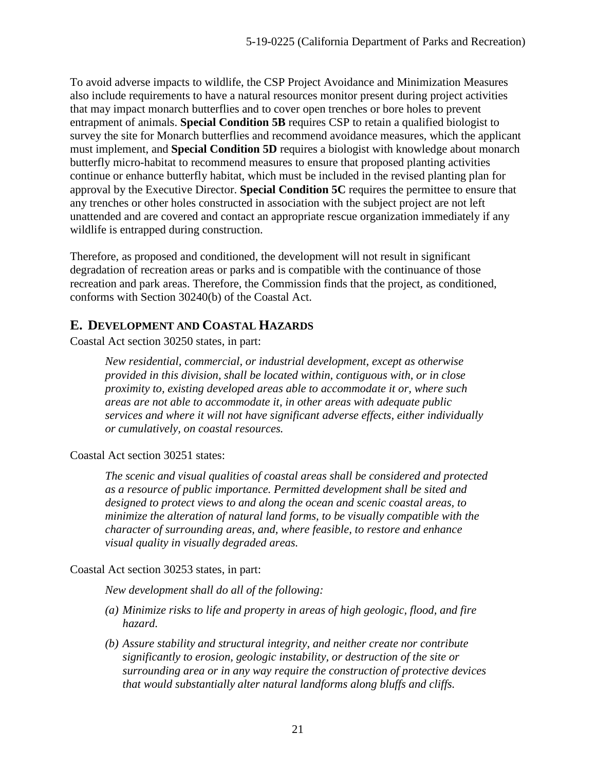To avoid adverse impacts to wildlife, the CSP Project Avoidance and Minimization Measures also include requirements to have a natural resources monitor present during project activities that may impact monarch butterflies and to cover open trenches or bore holes to prevent entrapment of animals. **Special Condition 5B** requires CSP to retain a qualified biologist to survey the site for Monarch butterflies and recommend avoidance measures, which the applicant must implement, and **Special Condition 5D** requires a biologist with knowledge about monarch butterfly micro-habitat to recommend measures to ensure that proposed planting activities continue or enhance butterfly habitat, which must be included in the revised planting plan for approval by the Executive Director. **Special Condition 5C** requires the permittee to ensure that any trenches or other holes constructed in association with the subject project are not left unattended and are covered and contact an appropriate rescue organization immediately if any wildlife is entrapped during construction.

Therefore, as proposed and conditioned, the development will not result in significant degradation of recreation areas or parks and is compatible with the continuance of those recreation and park areas. Therefore, the Commission finds that the project, as conditioned, conforms with Section 30240(b) of the Coastal Act.

## <span id="page-20-0"></span>**E. DEVELOPMENT AND COASTAL HAZARDS**

Coastal Act section 30250 states, in part:

*New residential, commercial, or industrial development, except as otherwise provided in this division, shall be located within, contiguous with, or in close proximity to, existing developed areas able to accommodate it or, where such areas are not able to accommodate it, in other areas with adequate public services and where it will not have significant adverse effects, either individually or cumulatively, on coastal resources.* 

Coastal Act section 30251 states:

*The scenic and visual qualities of coastal areas shall be considered and protected as a resource of public importance. Permitted development shall be sited and designed to protect views to and along the ocean and scenic coastal areas, to minimize the alteration of natural land forms, to be visually compatible with the character of surrounding areas, and, where feasible, to restore and enhance visual quality in visually degraded areas.* 

### Coastal Act section 30253 states, in part:

*New development shall do all of the following:* 

- *(a) Minimize risks to life and property in areas of high geologic, flood, and fire hazard.*
- *(b) Assure stability and structural integrity, and neither create nor contribute significantly to erosion, geologic instability, or destruction of the site or surrounding area or in any way require the construction of protective devices that would substantially alter natural landforms along bluffs and cliffs.*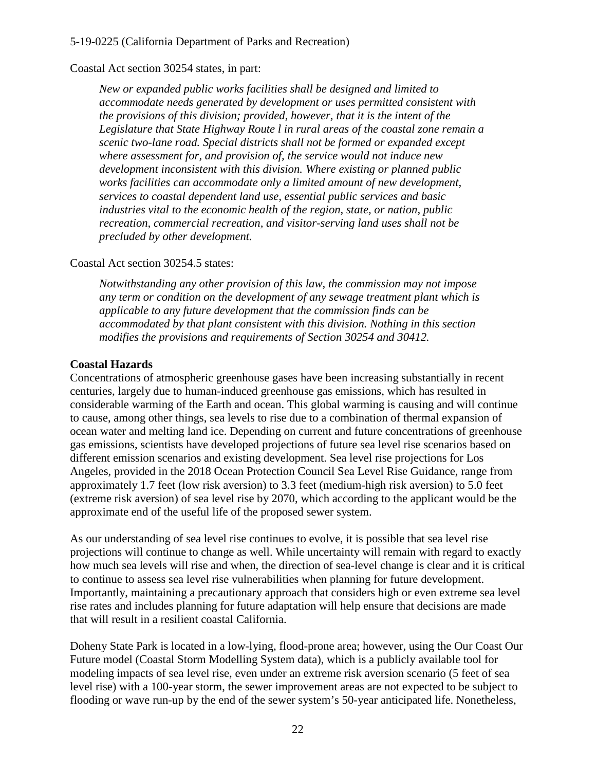#### Coastal Act section 30254 states, in part:

*New or expanded public works facilities shall be designed and limited to accommodate needs generated by development or uses permitted consistent with the provisions of this division; provided, however, that it is the intent of the Legislature that State Highway Route l in rural areas of the coastal zone remain a scenic two-lane road. Special districts shall not be formed or expanded except where assessment for, and provision of, the service would not induce new development inconsistent with this division. Where existing or planned public works facilities can accommodate only a limited amount of new development, services to coastal dependent land use, essential public services and basic industries vital to the economic health of the region, state, or nation, public recreation, commercial recreation, and visitor-serving land uses shall not be precluded by other development.* 

#### Coastal Act section 30254.5 states:

*Notwithstanding any other provision of this law, the commission may not impose any term or condition on the development of any sewage treatment plant which is applicable to any future development that the commission finds can be accommodated by that plant consistent with this division. Nothing in this section modifies the provisions and requirements of Section 30254 and 30412.*

#### **Coastal Hazards**

Concentrations of atmospheric greenhouse gases have been increasing substantially in recent centuries, largely due to human-induced greenhouse gas emissions, which has resulted in considerable warming of the Earth and ocean. This global warming is causing and will continue to cause, among other things, sea levels to rise due to a combination of thermal expansion of ocean water and melting land ice. Depending on current and future concentrations of greenhouse gas emissions, scientists have developed projections of future sea level rise scenarios based on different emission scenarios and existing development. Sea level rise projections for Los Angeles, provided in the 2018 Ocean Protection Council Sea Level Rise Guidance, range from approximately 1.7 feet (low risk aversion) to 3.3 feet (medium-high risk aversion) to 5.0 feet (extreme risk aversion) of sea level rise by 2070, which according to the applicant would be the approximate end of the useful life of the proposed sewer system.

As our understanding of sea level rise continues to evolve, it is possible that sea level rise projections will continue to change as well. While uncertainty will remain with regard to exactly how much sea levels will rise and when, the direction of sea-level change is clear and it is critical to continue to assess sea level rise vulnerabilities when planning for future development. Importantly, maintaining a precautionary approach that considers high or even extreme sea level rise rates and includes planning for future adaptation will help ensure that decisions are made that will result in a resilient coastal California.

Doheny State Park is located in a low-lying, flood-prone area; however, using the Our Coast Our Future model (Coastal Storm Modelling System data), which is a publicly available tool for modeling impacts of sea level rise, even under an extreme risk aversion scenario (5 feet of sea level rise) with a 100-year storm, the sewer improvement areas are not expected to be subject to flooding or wave run-up by the end of the sewer system's 50-year anticipated life. Nonetheless,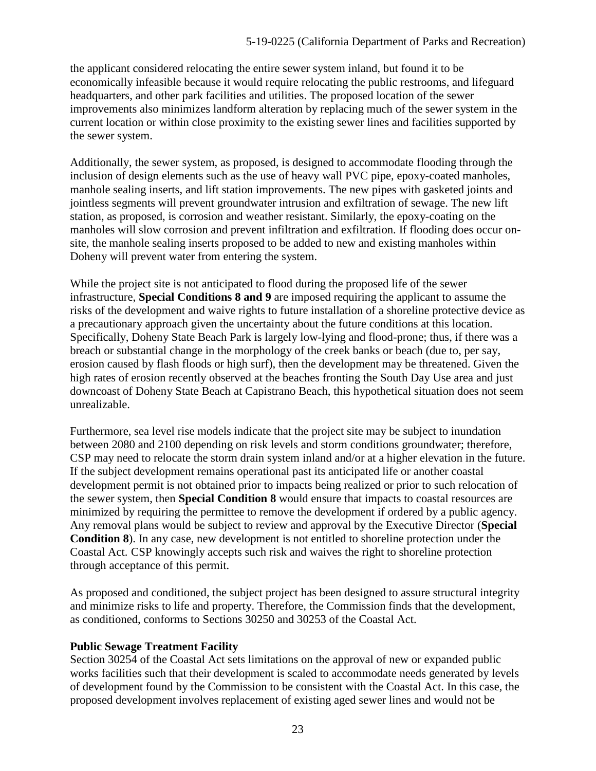the applicant considered relocating the entire sewer system inland, but found it to be economically infeasible because it would require relocating the public restrooms, and lifeguard headquarters, and other park facilities and utilities. The proposed location of the sewer improvements also minimizes landform alteration by replacing much of the sewer system in the current location or within close proximity to the existing sewer lines and facilities supported by the sewer system.

Additionally, the sewer system, as proposed, is designed to accommodate flooding through the inclusion of design elements such as the use of heavy wall PVC pipe, epoxy-coated manholes, manhole sealing inserts, and lift station improvements. The new pipes with gasketed joints and jointless segments will prevent groundwater intrusion and exfiltration of sewage. The new lift station, as proposed, is corrosion and weather resistant. Similarly, the epoxy-coating on the manholes will slow corrosion and prevent infiltration and exfiltration. If flooding does occur onsite, the manhole sealing inserts proposed to be added to new and existing manholes within Doheny will prevent water from entering the system.

While the project site is not anticipated to flood during the proposed life of the sewer infrastructure, **Special Conditions 8 and 9** are imposed requiring the applicant to assume the risks of the development and waive rights to future installation of a shoreline protective device as a precautionary approach given the uncertainty about the future conditions at this location. Specifically, Doheny State Beach Park is largely low-lying and flood-prone; thus, if there was a breach or substantial change in the morphology of the creek banks or beach (due to, per say, erosion caused by flash floods or high surf), then the development may be threatened. Given the high rates of erosion recently observed at the beaches fronting the South Day Use area and just downcoast of Doheny State Beach at Capistrano Beach, this hypothetical situation does not seem unrealizable.

Furthermore, sea level rise models indicate that the project site may be subject to inundation between 2080 and 2100 depending on risk levels and storm conditions groundwater; therefore, CSP may need to relocate the storm drain system inland and/or at a higher elevation in the future. If the subject development remains operational past its anticipated life or another coastal development permit is not obtained prior to impacts being realized or prior to such relocation of the sewer system, then **Special Condition 8** would ensure that impacts to coastal resources are minimized by requiring the permittee to remove the development if ordered by a public agency. Any removal plans would be subject to review and approval by the Executive Director (**Special Condition 8**). In any case, new development is not entitled to shoreline protection under the Coastal Act. CSP knowingly accepts such risk and waives the right to shoreline protection through acceptance of this permit.

As proposed and conditioned, the subject project has been designed to assure structural integrity and minimize risks to life and property. Therefore, the Commission finds that the development, as conditioned, conforms to Sections 30250 and 30253 of the Coastal Act.

### **Public Sewage Treatment Facility**

Section 30254 of the Coastal Act sets limitations on the approval of new or expanded public works facilities such that their development is scaled to accommodate needs generated by levels of development found by the Commission to be consistent with the Coastal Act. In this case, the proposed development involves replacement of existing aged sewer lines and would not be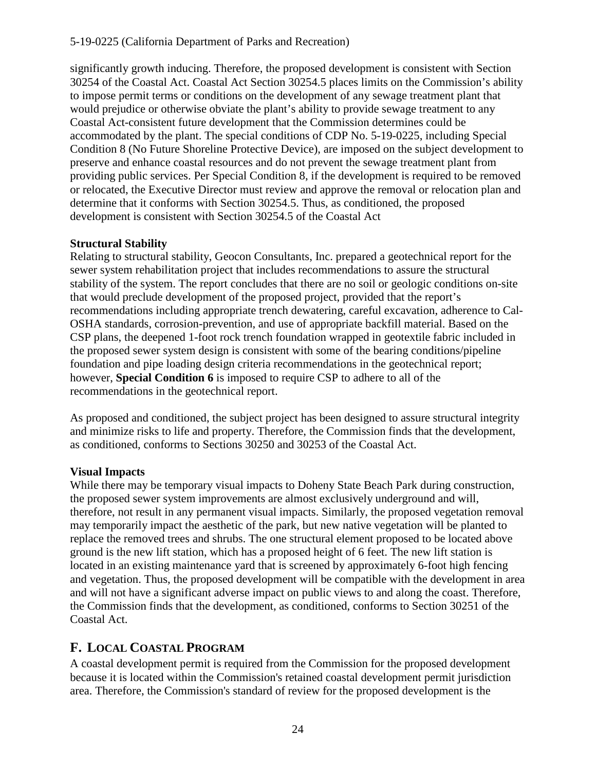significantly growth inducing. Therefore, the proposed development is consistent with Section 30254 of the Coastal Act. Coastal Act Section 30254.5 places limits on the Commission's ability to impose permit terms or conditions on the development of any sewage treatment plant that would prejudice or otherwise obviate the plant's ability to provide sewage treatment to any Coastal Act-consistent future development that the Commission determines could be accommodated by the plant. The special conditions of CDP No. 5-19-0225, including Special Condition 8 (No Future Shoreline Protective Device), are imposed on the subject development to preserve and enhance coastal resources and do not prevent the sewage treatment plant from providing public services. Per Special Condition 8, if the development is required to be removed or relocated, the Executive Director must review and approve the removal or relocation plan and determine that it conforms with Section 30254.5. Thus, as conditioned, the proposed development is consistent with Section 30254.5 of the Coastal Act

### **Structural Stability**

Relating to structural stability, Geocon Consultants, Inc. prepared a geotechnical report for the sewer system rehabilitation project that includes recommendations to assure the structural stability of the system. The report concludes that there are no soil or geologic conditions on-site that would preclude development of the proposed project, provided that the report's recommendations including appropriate trench dewatering, careful excavation, adherence to Cal-OSHA standards, corrosion-prevention, and use of appropriate backfill material. Based on the CSP plans, the deepened 1-foot rock trench foundation wrapped in geotextile fabric included in the proposed sewer system design is consistent with some of the bearing conditions/pipeline foundation and pipe loading design criteria recommendations in the geotechnical report; however, **Special Condition 6** is imposed to require CSP to adhere to all of the recommendations in the geotechnical report.

As proposed and conditioned, the subject project has been designed to assure structural integrity and minimize risks to life and property. Therefore, the Commission finds that the development, as conditioned, conforms to Sections 30250 and 30253 of the Coastal Act.

### **Visual Impacts**

While there may be temporary visual impacts to Doheny State Beach Park during construction, the proposed sewer system improvements are almost exclusively underground and will, therefore, not result in any permanent visual impacts. Similarly, the proposed vegetation removal may temporarily impact the aesthetic of the park, but new native vegetation will be planted to replace the removed trees and shrubs. The one structural element proposed to be located above ground is the new lift station, which has a proposed height of 6 feet. The new lift station is located in an existing maintenance yard that is screened by approximately 6-foot high fencing and vegetation. Thus, the proposed development will be compatible with the development in area and will not have a significant adverse impact on public views to and along the coast. Therefore, the Commission finds that the development, as conditioned, conforms to Section 30251 of the Coastal Act.

## <span id="page-23-0"></span>**F. LOCAL COASTAL PROGRAM**

A coastal development permit is required from the Commission for the proposed development because it is located within the Commission's retained coastal development permit jurisdiction area. Therefore, the Commission's standard of review for the proposed development is the